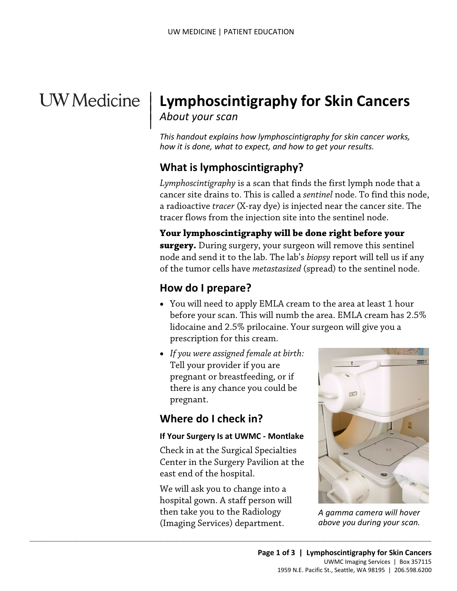# **UW** Medicine

|

# <sup>|</sup>**Lymphoscintigraphy for Skin Cancers** | *About your scan* <sup>|</sup>

*This handout explains how lymphoscintigraphy for skin cancer works, how it is done, what to expect, and how to get your results.* 

#### **What is lymphoscintigraphy?**

*Lymphoscintigraphy* is a scan that finds the first lymph node that a cancer site drains to. This is called a *sentinel* node. To find this node, a radioactive *tracer* (X-ray dye) is injected near the cancer site. The tracer flows from the injection site into the sentinel node.

**Your lymphoscintigraphy will be done right before your surgery.** During surgery, your surgeon will remove this sentinel node and send it to the lab. The lab's *biopsy* report will tell us if any of the tumor cells have *metastasized* (spread) to the sentinel node.

#### **How do I prepare?**

- You will need to apply EMLA cream to the area at least 1 hour before your scan. This will numb the area. EMLA cream has 2.5% lidocaine and 2.5% prilocaine. Your surgeon will give you a prescription for this cream.
- *If you were assigned female at birth:* Tell your provider if you are pregnant or breastfeeding, or if there is any chance you could be pregnant.

#### **Where do I check in?**

#### **If Your Surgery Is at UWMC - Montlake**

Check in at the Surgical Specialties Center in the Surgery Pavilion at the east end of the hospital.

We will ask you to change into a hospital gown. A staff person will then take you to the Radiology (Imaging Services) department.

 $\_$  ,  $\_$  ,  $\_$  ,  $\_$  ,  $\_$  ,  $\_$  ,  $\_$  ,  $\_$  ,  $\_$  ,  $\_$  ,  $\_$  ,  $\_$  ,  $\_$  ,  $\_$  ,  $\_$  ,  $\_$  ,  $\_$  ,  $\_$  ,  $\_$  ,  $\_$  ,  $\_$  ,  $\_$  ,  $\_$  ,  $\_$  ,  $\_$  ,  $\_$  ,  $\_$  ,  $\_$  ,  $\_$  ,  $\_$  ,  $\_$  ,  $\_$  ,  $\_$  ,  $\_$  ,  $\_$  ,  $\_$  ,  $\_$  ,



 *above you during your scan. A gamma camera will hover*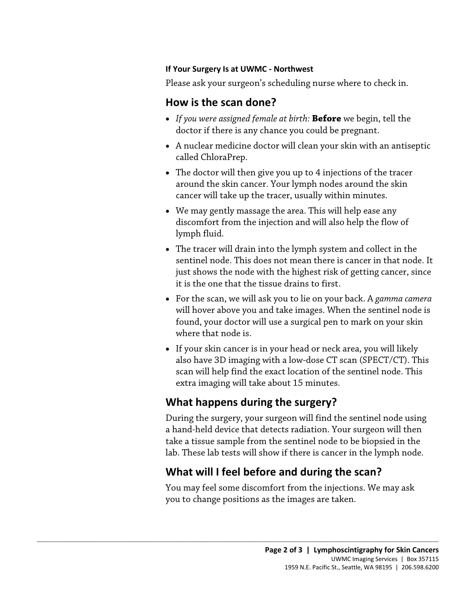#### **If Your Surgery Is at UWMC - Northwest**

Please ask your surgeon's scheduling nurse where to check in.

#### **How is the scan done?**

- • *If you were assigned female at birth:* **Before** we begin, tell the doctor if there is any chance you could be pregnant.
- A nuclear medicine doctor will clean your skin with an antiseptic called ChloraPrep.
- The doctor will then give you up to 4 injections of the tracer around the skin cancer. Your lymph nodes around the skin cancer will take up the tracer, usually within minutes.
- We may gently massage the area. This will help ease any discomfort from the injection and will also help the flow of lymph fluid.
- The tracer will drain into the lymph system and collect in the sentinel node. This does not mean there is cancer in that node. It just shows the node with the highest risk of getting cancer, since it is the one that the tissue drains to first.
- will hover above you and take images. When the sentinel node is found, your doctor will use a surgical pen to mark on your skin • For the scan, we will ask you to lie on your back. A *gamma camera*  where that node is.
- If your skin cancer is in your head or neck area, you will likely also have 3D imaging with a low-dose CT scan (SPECT/CT). This scan will help find the exact location of the sentinel node. This extra imaging will take about 15 minutes.

# **What happens during the surgery?**

 $\_$  ,  $\_$  ,  $\_$  ,  $\_$  ,  $\_$  ,  $\_$  ,  $\_$  ,  $\_$  ,  $\_$  ,  $\_$  ,  $\_$  ,  $\_$  ,  $\_$  ,  $\_$  ,  $\_$  ,  $\_$  ,  $\_$  ,  $\_$  ,  $\_$  ,  $\_$  ,  $\_$  ,  $\_$  ,  $\_$  ,  $\_$  ,  $\_$  ,  $\_$  ,  $\_$  ,  $\_$  ,  $\_$  ,  $\_$  ,  $\_$  ,  $\_$  ,  $\_$  ,  $\_$  ,  $\_$  ,  $\_$  ,  $\_$  ,

During the surgery, your surgeon will find the sentinel node using a hand-held device that detects radiation. Your surgeon will then take a tissue sample from the sentinel node to be biopsied in the lab. These lab tests will show if there is cancer in the lymph node.

# **What will I feel before and during the scan?**

You may feel some discomfort from the injections. We may ask you to change positions as the images are taken.